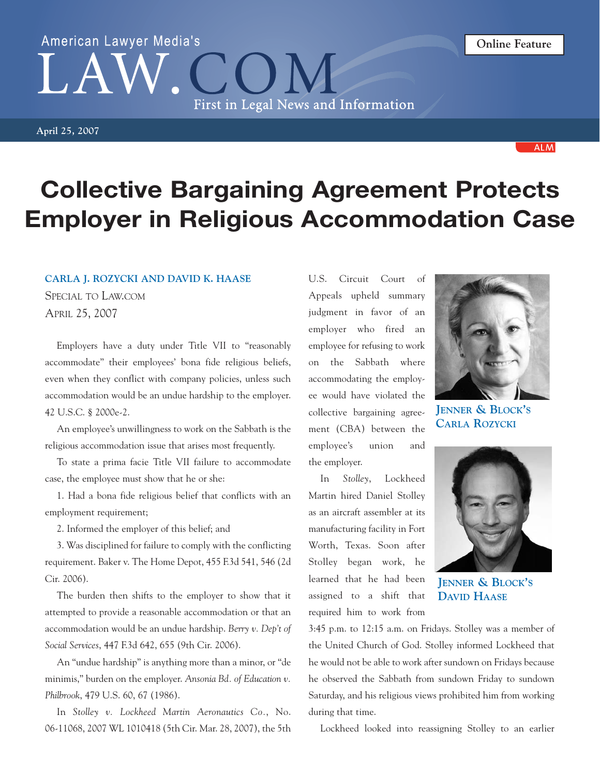## **Collective Bargaining Agreement Protects Employer in Religious Accommodation Case**

## **CARLA J. ROZYCKI AND DAVID K. HAASE**

SPECIAL TO LAW.COM APRIL 25, 2007

Employers have a duty under Title VII to "reasonably accommodate" their employees' bona fide religious beliefs, even when they conflict with company policies, unless such accommodation would be an undue hardship to the employer. 42 U.S.C. § 2000e-2.

An employee's unwillingness to work on the Sabbath is the religious accommodation issue that arises most frequently.

To state a prima facie Title VII failure to accommodate case, the employee must show that he or she:

1. Had a bona fide religious belief that conflicts with an employment requirement;

2. Informed the employer of this belief; and

3. Was disciplined for failure to comply with the conflicting requirement. Baker v. The Home Depot, 455 F.3d 541, 546 (2d Cir. 2006).

The burden then shifts to the employer to show that it attempted to provide a reasonable accommodation or that an accommodation would be an undue hardship. *Berry v. Dep't of Social Services*, 447 F.3d 642, 655 (9th Cir. 2006).

An "undue hardship" is anything more than a minor, or "de minimis," burden on the employer. *Ansonia Bd. of Education v. Philbrook*, 479 U.S. 60, 67 (1986).

In *Stolley v. Lockheed Martin Aeronautics Co.*, No. 06-11068, 2007 WL 1010418 (5th Cir. Mar. 28, 2007), the 5th U.S. Circuit Court of Appeals upheld summary judgment in favor of an employer who fired an employee for refusing to work on the Sabbath where accommodating the employee would have violated the collective bargaining agreement (CBA) between the employee's union and the employer.

In *Stolley*, Lockheed Martin hired Daniel Stolley as an aircraft assembler at its manufacturing facility in Fort Worth, Texas. Soon after Stolley began work, he learned that he had been assigned to a shift that required him to work from

**JENNER & BLOCK'S DAVID HAASE**

3:45 p.m. to 12:15 a.m. on Fridays. Stolley was a member of the United Church of God. Stolley informed Lockheed that he would not be able to work after sundown on Fridays because he observed the Sabbath from sundown Friday to sundown Saturday, and his religious views prohibited him from working during that time.

Lockheed looked into reassigning Stolley to an earlier



## American Lawyer Media's First in Legal News and Information

**April 25, 2007**



**ALM**